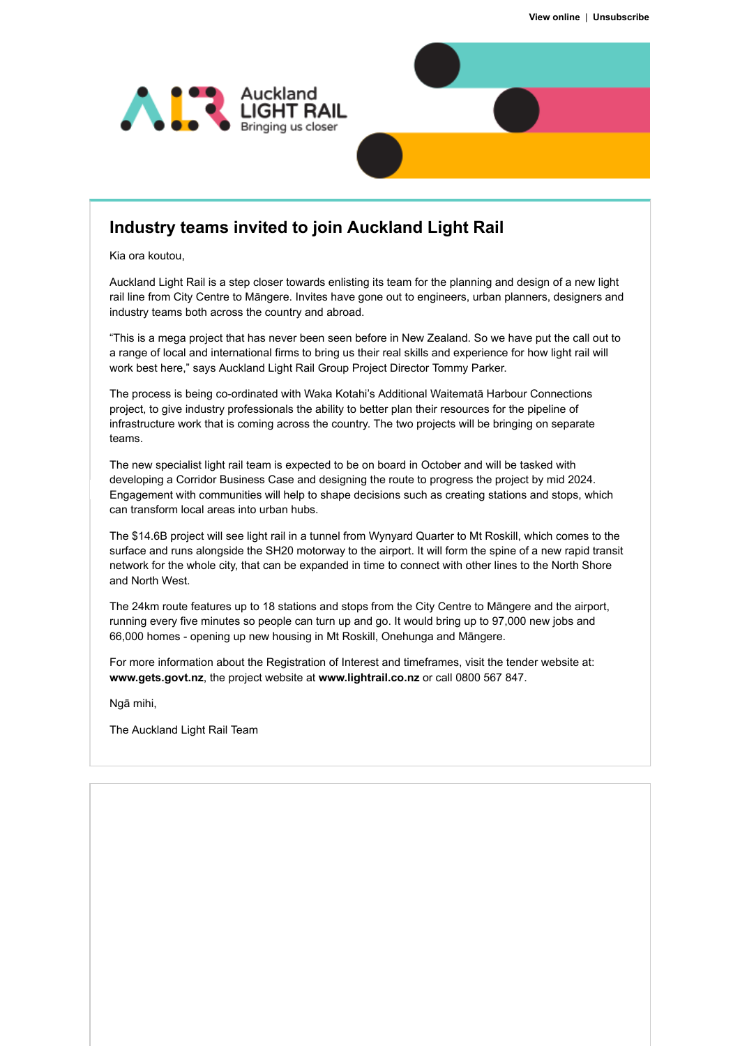

## **Industry teams invited to join Auckland Light Rail**

Kia ora koutou,

Auckland Light Rail is a step closer towards enlisting its team for the planning and design of a new light rail line from City Centre to Māngere. Invites have gone out to engineers, urban planners, designers and industry teams both across the country and abroad.

"This is a mega project that has never been seen before in New Zealand. So we have put the call out to a range of local and international firms to bring us their real skills and experience for how light rail will work best here," says Auckland Light Rail Group Project Director Tommy Parker.

The process is being co-ordinated with Waka Kotahi's Additional Waitematā Harbour Connections project, to give industry professionals the ability to better plan their resources for the pipeline of infrastructure work that is coming across the country. The two projects will be bringing on separate teams.

The new specialist light rail team is expected to be on board in October and will be tasked with developing a Corridor Business Case and designing the route to progress the project by mid 2024. Engagement with communities will help to shape decisions such as creating stations and stops, which can transform local areas into urban hubs.

The \$14.6B project will see light rail in a tunnel from Wynyard Quarter to Mt Roskill, which comes to the surface and runs alongside the SH20 motorway to the airport. It will form the spine of a new rapid transit network for the whole city, that can be expanded in time to connect with other lines to the North Shore and North West.

The 24km route features up to 18 stations and stops from the City Centre to Māngere and the airport, running every five minutes so people can turn up and go. It would bring up to 97,000 new jobs and 66,000 homes - opening up new housing in Mt Roskill, Onehunga and Māngere.

For more information about the Registration of Interest and timeframes, visit the tender website at: **[www.gets.govt.nz](https://nzta-aucklandlightrail.createsend1.com/t/t-l-ctklrid-l-t/)**, the project website at **[www.lightrail.co.nz](https://nzta-aucklandlightrail.createsend1.com/t/t-l-ctklrid-l-i/)** or call 0800 567 847.

Ngā mihi,

The Auckland Light Rail Team